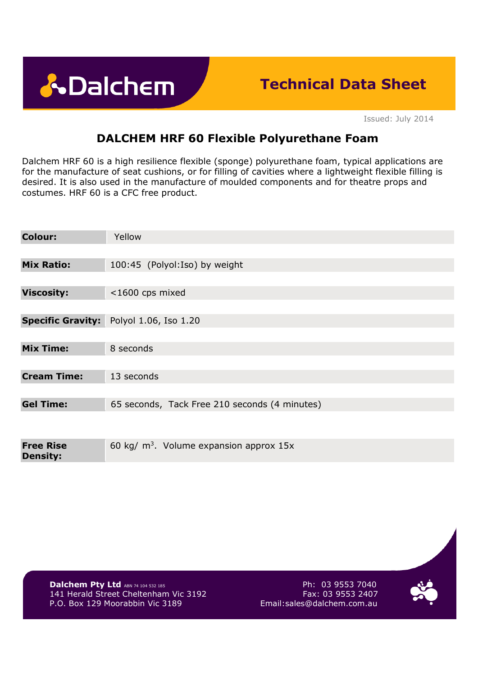**A**Dalchem

# **Technical Data Sheet**

Issued: July 2014

## **DALCHEM HRF 60 Flexible Polyurethane Foam**

Dalchem HRF 60 is a high resilience flexible (sponge) polyurethane foam, typical applications are for the manufacture of seat cushions, or for filling of cavities where a lightweight flexible filling is desired. It is also used in the manufacture of moulded components and for theatre props and costumes. HRF 60 is a CFC free product.

| <b>Colour:</b>                      | Yellow                                        |
|-------------------------------------|-----------------------------------------------|
|                                     |                                               |
| <b>Mix Ratio:</b>                   | 100:45 (Polyol:Iso) by weight                 |
|                                     |                                               |
| <b>Viscosity:</b>                   | <1600 cps mixed                               |
|                                     |                                               |
| <b>Specific Gravity:</b>            | Polyol 1.06, Iso 1.20                         |
|                                     |                                               |
| <b>Mix Time:</b>                    | 8 seconds                                     |
|                                     |                                               |
| <b>Cream Time:</b>                  | 13 seconds                                    |
|                                     |                                               |
| <b>Gel Time:</b>                    | 65 seconds, Tack Free 210 seconds (4 minutes) |
|                                     |                                               |
|                                     |                                               |
| <b>Free Rise</b><br><b>Density:</b> | 60 kg/ $m3$ . Volume expansion approx 15x     |

**Dalchem Pty Ltd** ABN 74 104 532 185<br>141 Herald Street Cheltenham Vic 3192 **Fax: 03 9553 2407** 141 Herald Street Cheltenham Vic 3192 P.O. Box 129 Moorabbin Vic 3189 Email:sales@dalchem.com.au